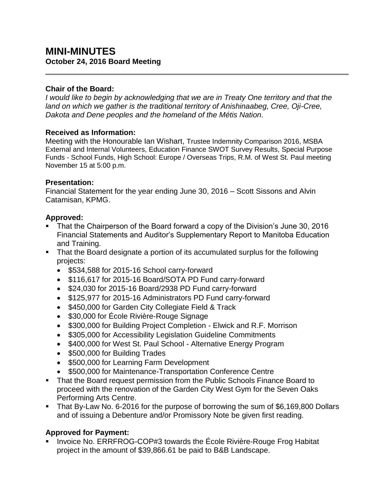# **MINI-MINUTES October 24, 2016 Board Meeting**

### **Chair of the Board:**

*I would like to begin by acknowledging that we are in Treaty One territory and that the land on which we gather is the traditional territory of Anishinaabeg, Cree, Oji-Cree, Dakota and Dene peoples and the homeland of the Métis Nation.*

### **Received as Information:**

Meeting with the Honourable Ian Wishart, Trustee Indemnity Comparison 2016, MSBA External and Internal Volunteers, Education Finance SWOT Survey Results, Special Purpose Funds - School Funds, High School: Europe / Overseas Trips, R.M. of West St. Paul meeting November 15 at 5:00 p.m.

### **Presentation:**

Financial Statement for the year ending June 30, 2016 – Scott Sissons and Alvin Catamisan, KPMG.

### **Approved:**

- That the Chairperson of the Board forward a copy of the Division's June 30, 2016 Financial Statements and Auditor's Supplementary Report to Manitoba Education and Training.
- That the Board designate a portion of its accumulated surplus for the following projects:
	- \$534,588 for 2015-16 School carry-forward
	- \$116,617 for 2015-16 Board/SOTA PD Fund carry-forward
	- \$24,030 for 2015-16 Board/2938 PD Fund carry-forward
	- \$125,977 for 2015-16 Administrators PD Fund carry-forward
	- \$450,000 for Garden City Collegiate Field & Track
	- \$30,000 for École Rivière-Rouge Signage
	- \$300,000 for Building Project Completion Elwick and R.F. Morrison
	- \$305,000 for Accessibility Legislation Guideline Commitments
	- \$400,000 for West St. Paul School Alternative Energy Program
	- \$500,000 for Building Trades
	- \$500,000 for Learning Farm Development
	- \$500,000 for Maintenance-Transportation Conference Centre
- That the Board request permission from the Public Schools Finance Board to proceed with the renovation of the Garden City West Gym for the Seven Oaks Performing Arts Centre.
- That By-Law No. 6-2016 for the purpose of borrowing the sum of \$6,169,800 Dollars and of issuing a Debenture and/or Promissory Note be given first reading.

## **Approved for Payment:**

 Invoice No. ERRFROG-COP#3 towards the École Rivière-Rouge Frog Habitat project in the amount of \$39,866.61 be paid to B&B Landscape.